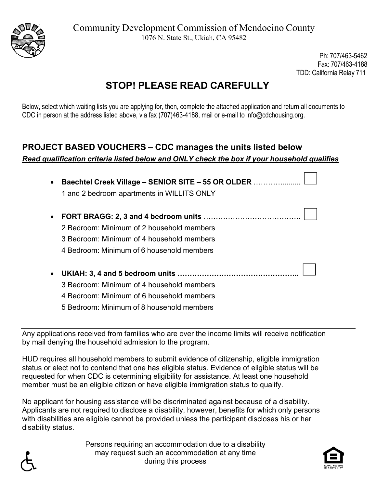

Ph: 707/463-5462 Fax: 707/463-4188 TDD: California Relay 711

# **STOP! PLEASE READ CAREFULLY**

Below, select which waiting lists you are applying for, then, complete the attached application and return all documents to CDC in person at the address listed above, via fax (707)463-4188, mail or e-mail to info@cdchousing.org.

### **PROJECT BASED VOUCHERS – CDC manages the units listed below**  *Read qualification criteria listed below and ONLY check the box if your household qualifies*

| • Baechtel Creek Village - SENIOR SITE - 55 OR OLDER |                                            |  |  |  |  |
|------------------------------------------------------|--------------------------------------------|--|--|--|--|
|                                                      | 1 and 2 bedroom apartments in WILLITS ONLY |  |  |  |  |

- **FORT BRAGG: 2, 3 and 4 bedroom units** …………………………………. 2 Bedroom: Minimum of 2 household members 3 Bedroom: Minimum of 4 household members 4 Bedroom: Minimum of 6 household members
- **UKIAH: 3, 4 and 5 bedroom units …………………………………………..**  3 Bedroom: Minimum of 4 household members 4 Bedroom: Minimum of 6 household members 5 Bedroom: Minimum of 8 household members

Any applications received from families who are over the income limits will receive notification by mail denying the household admission to the program.

HUD requires all household members to submit evidence of citizenship, eligible immigration status or elect not to contend that one has eligible status. Evidence of eligible status will be requested for when CDC is determining eligibility for assistance. At least one household member must be an eligible citizen or have eligible immigration status to qualify.

No applicant for housing assistance will be discriminated against because of a disability. Applicants are not required to disclose a disability, however, benefits for which only persons with disabilities are eligible cannot be provided unless the participant discloses his or her disability status.

> Persons requiring an accommodation due to a disability may request such an accommodation at any time during this process



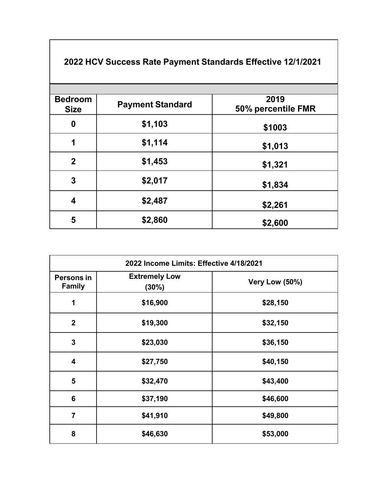| <b>Bedroom</b><br><b>Size</b> | <b>Payment Standard</b> | 2019<br>50% percentile FMR |
|-------------------------------|-------------------------|----------------------------|
| $\boldsymbol{0}$              | \$1,103                 | \$1003                     |
| 1                             | \$1,114                 | \$1,013                    |
| $\mathbf 2$                   | \$1,453                 | \$1,321                    |
| 3                             | \$2,017                 | \$1,834                    |
| 4                             | \$2,487                 | \$2,261                    |
| 5                             | \$2,860                 | \$2,600                    |

## **2022 HCV Success Rate Payment Standards Effective 12/1/2021**

| 2022 Income Limits: Effective 4/18/2021 |                                  |                |  |  |  |
|-----------------------------------------|----------------------------------|----------------|--|--|--|
| Persons in<br><b>Family</b>             | <b>Extremely Low</b><br>$(30\%)$ | Very Low (50%) |  |  |  |
| 1                                       | \$16,900                         | \$28,150       |  |  |  |
| $\overline{2}$                          | \$19,300                         | \$32,150       |  |  |  |
| 3                                       | \$23,030                         | \$36,150       |  |  |  |
| 4                                       | \$27,750                         | \$40,150       |  |  |  |
| 5                                       | \$32,470                         | \$43,400       |  |  |  |
| 6                                       | \$37,190                         | \$46,600       |  |  |  |
| $\overline{7}$                          | \$41,910                         | \$49,800       |  |  |  |
| 8                                       | \$46,630                         | \$53,000       |  |  |  |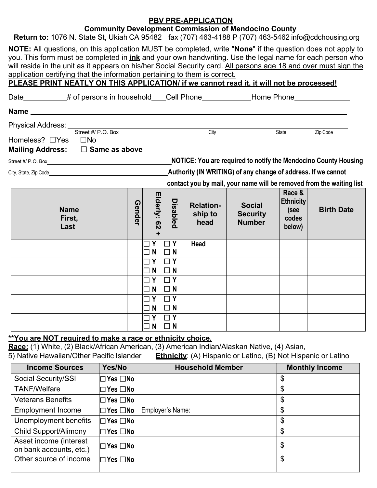| Return to: 1076 N. State St, Ukiah CA 95482 fax (707) 463-4188 P (707) 463-5462 info@cdchousing.org<br>NOTE: All questions, on this application MUST be completed, write "None" if the question does not apply to<br>you. This form must be completed in <b><u>ink</u></b> and your own handwriting. Use the legal name for each person who<br>will reside in the unit as it appears on his/her Social Security card. All persons age 18 and over must sign the<br>application certifying that the information pertaining to them is correct.<br>PLEASE PRINT NEATLY ON THIS APPLICATION/ if we cannot read it, it will not be processed! |        |                                              |                                              | <b>PBV PRE-APPLICATION</b>          | <b>Community Development Commission of Mendocino County</b>   |                                                       |                                                                                           |
|-------------------------------------------------------------------------------------------------------------------------------------------------------------------------------------------------------------------------------------------------------------------------------------------------------------------------------------------------------------------------------------------------------------------------------------------------------------------------------------------------------------------------------------------------------------------------------------------------------------------------------------------|--------|----------------------------------------------|----------------------------------------------|-------------------------------------|---------------------------------------------------------------|-------------------------------------------------------|-------------------------------------------------------------------------------------------|
| Date___________# of persons in household____Cell Phone____________Home Phone____________                                                                                                                                                                                                                                                                                                                                                                                                                                                                                                                                                  |        |                                              |                                              |                                     |                                                               |                                                       |                                                                                           |
| Name                                                                                                                                                                                                                                                                                                                                                                                                                                                                                                                                                                                                                                      |        |                                              |                                              |                                     |                                                               |                                                       |                                                                                           |
| Homeless? □Yes □No<br>Mailing Address: □ Same as above                                                                                                                                                                                                                                                                                                                                                                                                                                                                                                                                                                                    |        |                                              |                                              | City                                |                                                               | State                                                 | Zip Code                                                                                  |
| Street #/ P.O. Box example and the state of the state of the state of the state of the state of the state of the                                                                                                                                                                                                                                                                                                                                                                                                                                                                                                                          |        |                                              |                                              |                                     |                                                               |                                                       | <b>NOTICE: You are required to notify the Mendocino County Housing</b>                    |
| City, State, Zip Code experience of the control of the control of the control of the control of the control of                                                                                                                                                                                                                                                                                                                                                                                                                                                                                                                            |        |                                              |                                              |                                     | Authority (IN WRITING) of any change of address. If we cannot |                                                       |                                                                                           |
| <b>Name</b><br>First,<br>Last                                                                                                                                                                                                                                                                                                                                                                                                                                                                                                                                                                                                             | Gender | Elderly:<br><b>Q2</b>                        | <b>Disabled</b>                              | <b>Relation-</b><br>ship to<br>head | <b>Social</b><br><b>Security</b><br><b>Number</b>             | Race &<br><b>Ethnicity</b><br>(see<br>codes<br>below) | contact you by mail, your name will be removed from the waiting list<br><b>Birth Date</b> |
|                                                                                                                                                                                                                                                                                                                                                                                                                                                                                                                                                                                                                                           |        | Y<br>$\Box$ N                                | Y<br>$\Box$<br>$\Box$ N                      | <b>Head</b>                         |                                                               |                                                       |                                                                                           |
|                                                                                                                                                                                                                                                                                                                                                                                                                                                                                                                                                                                                                                           |        |                                              |                                              |                                     |                                                               |                                                       |                                                                                           |
|                                                                                                                                                                                                                                                                                                                                                                                                                                                                                                                                                                                                                                           |        | $\Box$ Y<br>$\Box$ N<br>$\Box$ Y<br>$\Box$ N | $\Box$ Y<br>$\Box$ N<br>$\Box$ Y<br>$\Box$ N |                                     |                                                               |                                                       |                                                                                           |

**Race:** (1) White, (2) Black/African American, (3) American Indian/Alaskan Native, (4) Asian,

5) Native Hawaiian/Other Pacific Islander **Ethnicity**: (A) Hispanic or Latino, (B) Not Hispanic or Latino

| <b>Income Sources</b>                             | Yes/No               | <b>Household Member</b> | <b>Monthly Income</b> |
|---------------------------------------------------|----------------------|-------------------------|-----------------------|
| Social Security/SSI                               | $\Box$ Yes $\Box$ No |                         | \$                    |
| <b>TANF/Welfare</b>                               | $\Box$ Yes $\Box$ No |                         | \$                    |
| <b>Veterans Benefits</b>                          | $\Box$ Yes $\Box$ No |                         | \$                    |
| <b>Employment Income</b>                          | $\Box$ Yes $\Box$ No | Employer's Name:        | \$                    |
| Unemployment benefits                             | $\Box$ Yes $\Box$ No |                         | \$                    |
| <b>Child Support/Alimony</b>                      | $\Box$ Yes $\Box$ No |                         | \$                    |
| Asset income (interest<br>on bank accounts, etc.) | $\Box$ Yes $\Box$ No |                         | \$                    |
| Other source of income                            | $\Box$ Yes $\Box$ No |                         | \$                    |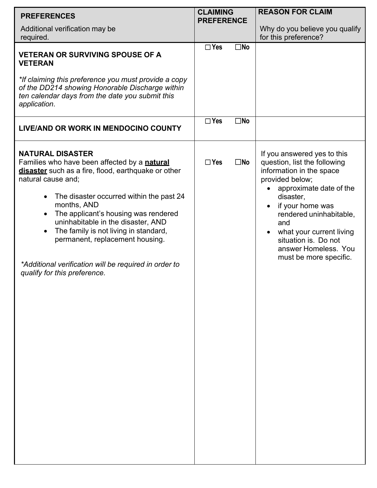| <b>PREFERENCES</b>                                                                                                                                                                                                                                                                                                                                                                                                                                                                                        | <b>CLAIMING</b><br><b>PREFERENCE</b> | <b>REASON FOR CLAIM</b>                                                                                                                                                                                                                                                                                                                  |
|-----------------------------------------------------------------------------------------------------------------------------------------------------------------------------------------------------------------------------------------------------------------------------------------------------------------------------------------------------------------------------------------------------------------------------------------------------------------------------------------------------------|--------------------------------------|------------------------------------------------------------------------------------------------------------------------------------------------------------------------------------------------------------------------------------------------------------------------------------------------------------------------------------------|
| Additional verification may be<br>required.                                                                                                                                                                                                                                                                                                                                                                                                                                                               |                                      | Why do you believe you qualify<br>for this preference?                                                                                                                                                                                                                                                                                   |
| <b>VETERAN OR SURVIVING SPOUSE OF A</b><br><b>VETERAN</b>                                                                                                                                                                                                                                                                                                                                                                                                                                                 | $\Box$ Yes<br>$\square$ No           |                                                                                                                                                                                                                                                                                                                                          |
| *If claiming this preference you must provide a copy<br>of the DD214 showing Honorable Discharge within<br>ten calendar days from the date you submit this<br>application.                                                                                                                                                                                                                                                                                                                                |                                      |                                                                                                                                                                                                                                                                                                                                          |
| LIVE/AND OR WORK IN MENDOCINO COUNTY                                                                                                                                                                                                                                                                                                                                                                                                                                                                      | $\Box$ Yes<br>$\square$ No           |                                                                                                                                                                                                                                                                                                                                          |
| <b>NATURAL DISASTER</b><br>Families who have been affected by a natural<br>disaster such as a fire, flood, earthquake or other<br>natural cause and;<br>The disaster occurred within the past 24<br>$\bullet$<br>months, AND<br>The applicant's housing was rendered<br>$\bullet$<br>uninhabitable in the disaster, AND<br>The family is not living in standard,<br>$\bullet$<br>permanent, replacement housing.<br>*Additional verification will be required in order to<br>qualify for this preference. | $\square$ No<br>$\Box$ Yes           | If you answered yes to this<br>question, list the following<br>information in the space<br>provided below;<br>approximate date of the<br>disaster,<br>if your home was<br>$\bullet$<br>rendered uninhabitable,<br>and<br>what your current living<br>$\bullet$<br>situation is. Do not<br>answer Homeless. You<br>must be more specific. |